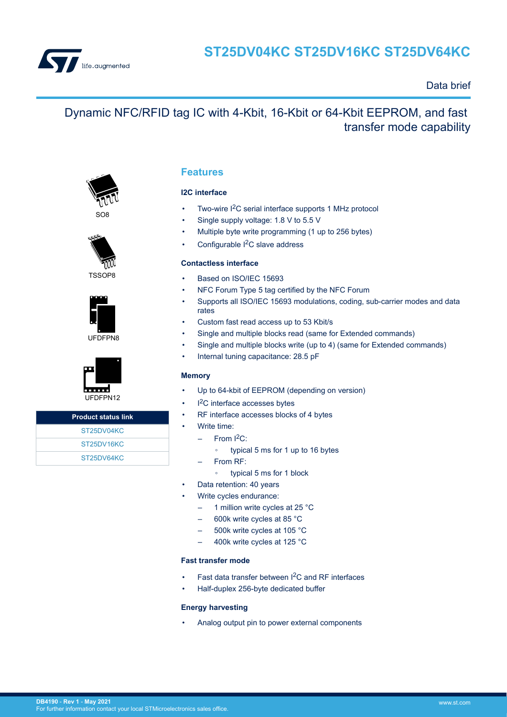

# Data brief

# Dynamic NFC/RFID tag IC with 4-Kbit, 16-Kbit or 64-Kbit EEPROM, and fast transfer mode capability



SO8





UFDFPN8



| <b>Product status link</b>           |
|--------------------------------------|
| ST25DV04KC                           |
| ST <sub>25</sub> DV <sub>16</sub> KC |
| ST <sub>25</sub> DV64KC              |

# **Features**

## **I2C interface**

- Two-wire I<sup>2</sup>C serial interface supports 1 MHz protocol
- Single supply voltage: 1.8 V to 5.5 V
- Multiple byte write programming (1 up to 256 bytes)
- Configurable I<sup>2</sup>C slave address

## **Contactless interface**

- Based on ISO/IEC 15693
- NFC Forum Type 5 tag certified by the NFC Forum
- Supports all ISO/IEC 15693 modulations, coding, sub-carrier modes and data rates
- Custom fast read access up to 53 Kbit/s
- Single and multiple blocks read (same for Extended commands)
- Single and multiple blocks write (up to 4) (same for Extended commands)
- Internal tuning capacitance: 28.5 pF

## **Memory**

- Up to 64-kbit of EEPROM (depending on version)
- <sup>12</sup>C interface accesses bytes
- RF interface accesses blocks of 4 bytes
- Write time:
	- From  $I<sup>2</sup>C$ :
		- typical 5 ms for 1 up to 16 bytes
	- From RF:
		- typical 5 ms for 1 block
- Data retention: 40 years
- Write cycles endurance:
	- 1 million write cycles at 25 °C
	- 600k write cycles at 85 °C
	- 500k write cycles at 105 °C
	- 400k write cycles at 125 °C

### **Fast transfer mode**

- Fast data transfer between I2C and RF interfaces
- Half-duplex 256-byte dedicated buffer

### **Energy harvesting**

• Analog output pin to power external components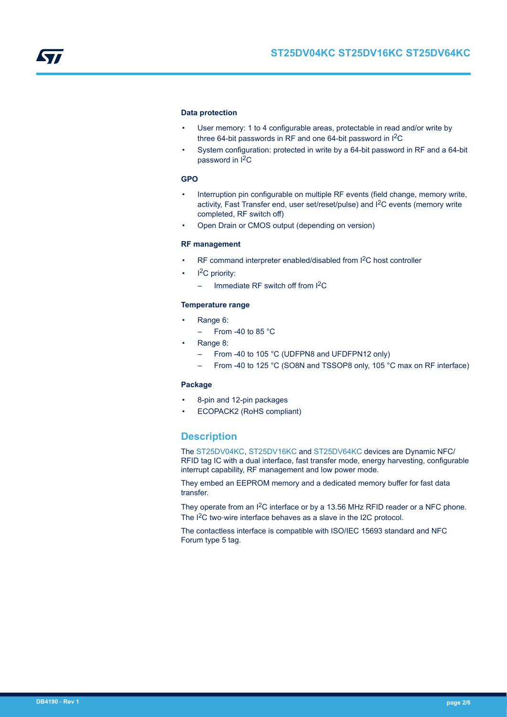### **Data protection**

- User memory: 1 to 4 configurable areas, protectable in read and/or write by three 64-bit passwords in RF and one 64-bit password in I<sup>2</sup>C
- System configuration: protected in write by a 64-bit password in RF and a 64-bit password in I<sup>2</sup>C

## **GPO**

- Interruption pin configurable on multiple RF events (field change, memory write, activity, Fast Transfer end, user set/reset/pulse) and I<sup>2</sup>C events (memory write completed, RF switch off)
- Open Drain or CMOS output (depending on version)

#### **RF management**

- RF command interpreter enabled/disabled from I<sup>2</sup>C host controller
- $I^2C$  priority:
	- $-$  Immediate RF switch off from  $1^2C$

## **Temperature range**

- Range 6:
	- $-$  From -40 to 85 °C
- Range 8:
	- From -40 to 105 °C (UDFPN8 and UFDFPN12 only)
	- From -40 to 125 °C (SO8N and TSSOP8 only, 105 °C max on RF interface)

#### **Package**

- 8-pin and 12-pin packages
- ECOPACK2 (RoHS compliant)

# **Description**

The [ST25DV04KC](https://www.st.com/en/product/st25dv04kc?ecmp=tt9470_gl_link_feb2019&rt=db&id=DB4190), [ST25DV16KC](https://www.st.com/en/product/st25dv16kc?ecmp=tt9470_gl_link_feb2019&rt=db&id=DB4190) and [ST25DV64KC](https://www.st.com/en/product/st25dv64kc?ecmp=tt9470_gl_link_feb2019&rt=db&id=DB4190) devices are Dynamic NFC/ RFID tag IC with a dual interface, fast transfer mode, energy harvesting, configurable interrupt capability, RF management and low power mode.

They embed an EEPROM memory and a dedicated memory buffer for fast data transfer.

They operate from an I<sup>2</sup>C interface or by a 13.56 MHz RFID reader or a NFC phone. The I<sup>2</sup>C two-wire interface behaves as a slave in the I2C protocol.

The contactless interface is compatible with ISO/IEC 15693 standard and NFC Forum type 5 tag.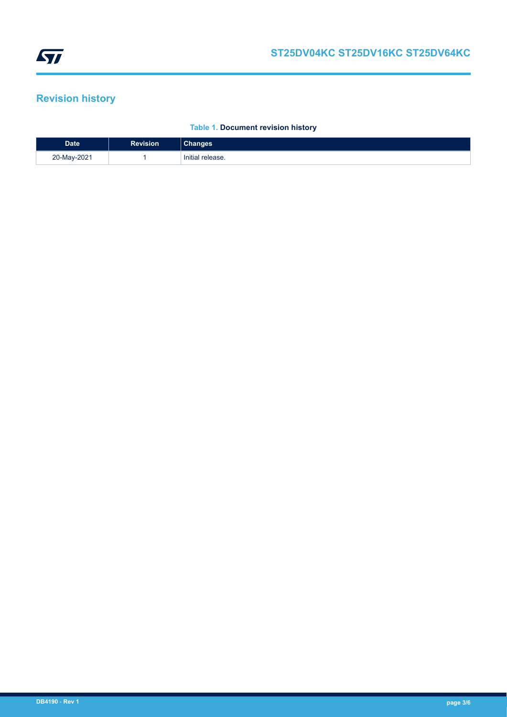# <span id="page-2-0"></span>**Revision history**

# **Table 1. Document revision history**

| <b>Date</b> | Revision | าanges           |
|-------------|----------|------------------|
| 20-May-2021 |          | Initial release. |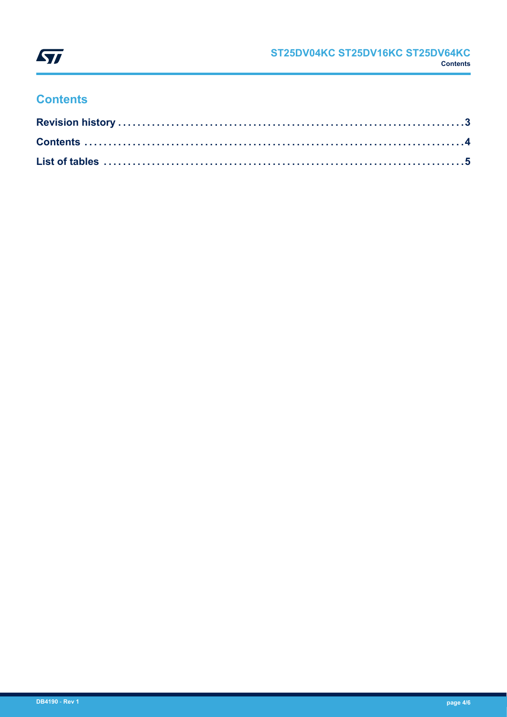

# **Contents**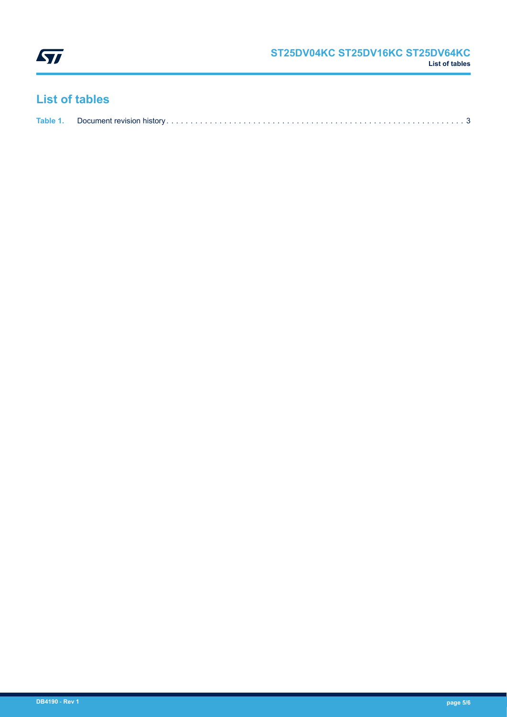<span id="page-4-0"></span>

# **List of tables**